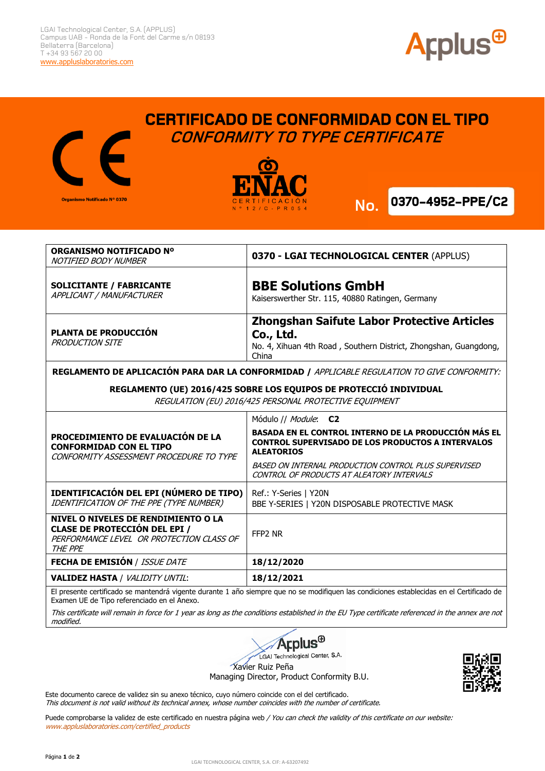

## **CERTIFICADO DE CONFORMIDAD CON EL TIPO** Organismo Notificado Nº 0370



 **CONFORMITY TO TYPE CERTIFICATE**



**No.**

|                                                                                                                              | ORGANISMO NOTIFICADO Nº<br>NOTIFIED BODY NUMBER                                                                                    | 0370 - LGAI TECHNOLOGICAL CENTER (APPLUS)                                                                                                                                                                                                                          |
|------------------------------------------------------------------------------------------------------------------------------|------------------------------------------------------------------------------------------------------------------------------------|--------------------------------------------------------------------------------------------------------------------------------------------------------------------------------------------------------------------------------------------------------------------|
|                                                                                                                              | <b>SOLICITANTE / FABRICANTE</b><br>APPLICANT / MANUFACTURER                                                                        | <b>BBE Solutions GmbH</b><br>Kaiserswerther Str. 115, 40880 Ratingen, Germany                                                                                                                                                                                      |
|                                                                                                                              | <b>PLANTA DE PRODUCCIÓN</b><br><b>PRODUCTION SITE</b>                                                                              | <b>Zhongshan Saifute Labor Protective Articles</b><br>Co., Ltd.<br>No. 4, Xihuan 4th Road, Southern District, Zhongshan, Guangdong,<br>China                                                                                                                       |
| REGLAMENTO DE APLICACIÓN PARA DAR LA CONFORMIDAD / APPLICABLE REGULATION TO GIVE CONFORMITY:                                 |                                                                                                                                    |                                                                                                                                                                                                                                                                    |
| REGLAMENTO (UE) 2016/425 SOBRE LOS EQUIPOS DE PROTECCIÓ INDIVIDUAL<br>REGULATION (EU) 2016/425 PERSONAL PROTECTIVE EQUIPMENT |                                                                                                                                    |                                                                                                                                                                                                                                                                    |
|                                                                                                                              | PROCEDIMIENTO DE EVALUACIÓN DE LA<br><b>CONFORMIDAD CON EL TIPO</b><br>CONFORMITY ASSESSMENT PROCEDURE TO TYPE                     | Módulo // Module: C2<br>BASADA EN EL CONTROL INTERNO DE LA PRODUCCIÓN MÁS EL<br><b>CONTROL SUPERVISADO DE LOS PRODUCTOS A INTERVALOS</b><br><b>ALEATORIOS</b><br>BASED ON INTERNAL PRODUCTION CONTROL PLUS SUPERVISED<br>CONTROL OF PRODUCTS AT ALEATORY INTERVALS |
|                                                                                                                              | IDENTIFICACIÓN DEL EPI (NÚMERO DE TIPO)<br>IDENTIFICATION OF THE PPE (TYPE NUMBER)                                                 | Ref.: Y-Series   Y20N<br>BBE Y-SERIES   Y20N DISPOSABLE PROTECTIVE MASK                                                                                                                                                                                            |
|                                                                                                                              | NIVEL O NIVELES DE RENDIMIENTO O LA<br><b>CLASE DE PROTECCIÓN DEL EPI /</b><br>PERFORMANCE LEVEL OR PROTECTION CLASS OF<br>THE PPE | FFP <sub>2</sub> NR                                                                                                                                                                                                                                                |
|                                                                                                                              | <b>FECHA DE EMISIÓN / ISSUE DATE</b>                                                                                               | 18/12/2020                                                                                                                                                                                                                                                         |
|                                                                                                                              | <b>VALIDEZ HASTA / VALIDITY UNTIL:</b>                                                                                             | 18/12/2021                                                                                                                                                                                                                                                         |
|                                                                                                                              |                                                                                                                                    |                                                                                                                                                                                                                                                                    |

El presente certificado se mantendrá vigente durante 1 año siempre que no se modifiquen las condiciones establecidas en el Certificado de Examen UE de Tipo referenciado en el Anexo.

This certificate will remain in force for 1 year as long as the conditions established in the EU Type certificate referenced in the annex are not modified.



LGAI Technological Center, S.A.

Xavier Ruiz Peña

Managing Director, Product Conformity B.U.



Este documento carece de validez sin su anexo técnico, cuyo número coincide con el del certificado. This document is not valid without its technical annex, whose number coincides with the number of certificate.

Puede comprobarse la validez de este certificado en nuestra página web / You can check the validity of this certificate on our website: www.appluslaboratories.com/certified\_products